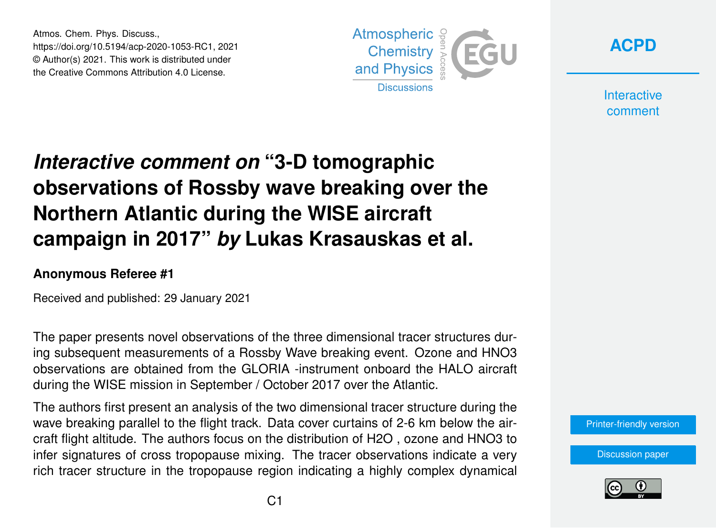Atmos. Chem. Phys. Discuss., https://doi.org/10.5194/acp-2020-1053-RC1, 2021 © Author(s) 2021. This work is distributed under the Creative Commons Attribution 4.0 License.





**Interactive** comment

## *Interactive comment on* **"3-D tomographic observations of Rossby wave breaking over the Northern Atlantic during the WISE aircraft campaign in 2017"** *by* **Lukas Krasauskas et al.**

## **Anonymous Referee #1**

Received and published: 29 January 2021

The paper presents novel observations of the three dimensional tracer structures during subsequent measurements of a Rossby Wave breaking event. Ozone and HNO3 observations are obtained from the GLORIA -instrument onboard the HALO aircraft during the WISE mission in September / October 2017 over the Atlantic.

The authors first present an analysis of the two dimensional tracer structure during the wave breaking parallel to the flight track. Data cover curtains of 2-6 km below the aircraft flight altitude. The authors focus on the distribution of H2O , ozone and HNO3 to infer signatures of cross tropopause mixing. The tracer observations indicate a very rich tracer structure in the tropopause region indicating a highly complex dynamical



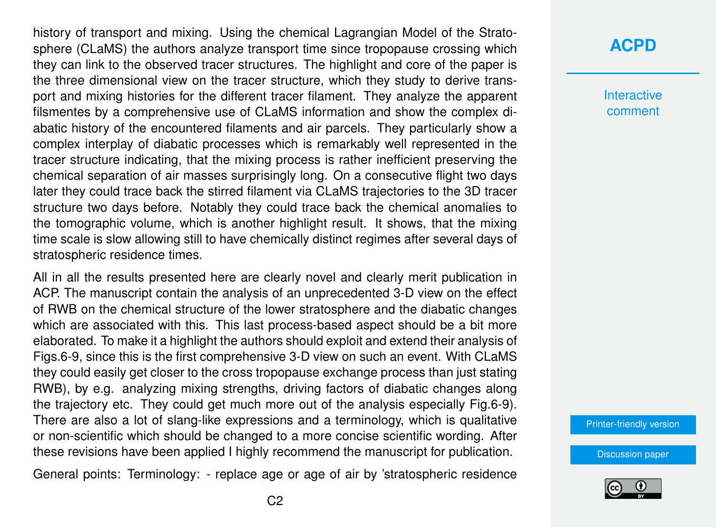history of transport and mixing. Using the chemical Lagrangian Model of the Stratosphere (CLaMS) the authors analyze transport time since tropopause crossing which they can link to the observed tracer structures. The highlight and core of the paper is the three dimensional view on the tracer structure, which they study to derive transport and mixing histories for the different tracer filament. They analyze the apparent filsmentes by a comprehensive use of CLaMS information and show the complex diabatic history of the encountered filaments and air parcels. They particularly show a complex interplay of diabatic processes which is remarkably well represented in the tracer structure indicating, that the mixing process is rather inefficient preserving the chemical separation of air masses surprisingly long. On a consecutive flight two days later they could trace back the stirred filament via CLaMS trajectories to the 3D tracer structure two days before. Notably they could trace back the chemical anomalies to the tomographic volume, which is another highlight result. It shows, that the mixing time scale is slow allowing still to have chemically distinct regimes after several days of stratospheric residence times.

All in all the results presented here are clearly novel and clearly merit publication in ACP. The manuscript contain the analysis of an unprecedented 3-D view on the effect of RWB on the chemical structure of the lower stratosphere and the diabatic changes which are associated with this. This last process-based aspect should be a bit more elaborated. To make it a highlight the authors should exploit and extend their analysis of Figs.6-9, since this is the first comprehensive 3-D view on such an event. With CLaMS they could easily get closer to the cross tropopause exchange process than just stating RWB), by e.g. analyzing mixing strengths, driving factors of diabatic changes along the trajectory etc. They could get much more out of the analysis especially Fig.6-9). There are also a lot of slang-like expressions and a terminology, which is qualitative or non-scientific which should be changed to a more concise scientific wording. After these revisions have been applied I highly recommend the manuscript for publication.

General points: Terminology: - replace age or age of air by 'stratospheric residence

## **[ACPD](https://acp.copernicus.org/preprints/)**

**Interactive** comment

[Printer-friendly version](https://acp.copernicus.org/preprints/acp-2020-1053/acp-2020-1053-RC1-print.pdf)

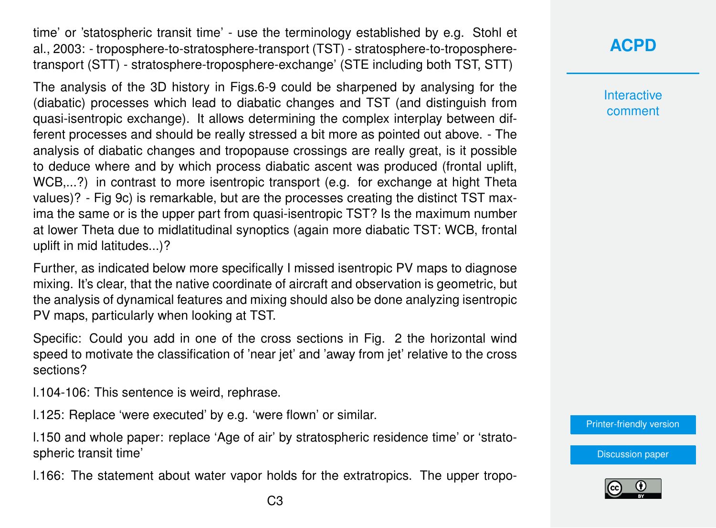time' or 'statospheric transit time' - use the terminology established by e.g. Stohl et al., 2003: - troposphere-to-stratosphere-transport (TST) - stratosphere-to-tropospheretransport (STT) - stratosphere-troposphere-exchange' (STE including both TST, STT)

The analysis of the 3D history in Figs.6-9 could be sharpened by analysing for the (diabatic) processes which lead to diabatic changes and TST (and distinguish from quasi-isentropic exchange). It allows determining the complex interplay between different processes and should be really stressed a bit more as pointed out above. - The analysis of diabatic changes and tropopause crossings are really great, is it possible to deduce where and by which process diabatic ascent was produced (frontal uplift, WCB,...?) in contrast to more isentropic transport (e.g. for exchange at hight Theta values)? - Fig 9c) is remarkable, but are the processes creating the distinct TST maxima the same or is the upper part from quasi-isentropic TST? Is the maximum number at lower Theta due to midlatitudinal synoptics (again more diabatic TST: WCB, frontal uplift in mid latitudes...)?

Further, as indicated below more specifically I missed isentropic PV maps to diagnose mixing. It's clear, that the native coordinate of aircraft and observation is geometric, but the analysis of dynamical features and mixing should also be done analyzing isentropic PV maps, particularly when looking at TST.

Specific: Could you add in one of the cross sections in Fig. 2 the horizontal wind speed to motivate the classification of 'near jet' and 'away from jet' relative to the cross sections?

l.104-106: This sentence is weird, rephrase.

l.125: Replace 'were executed' by e.g. 'were flown' or similar.

l.150 and whole paper: replace 'Age of air' by stratospheric residence time' or 'stratospheric transit time'

l.166: The statement about water vapor holds for the extratropics. The upper tropo-

**Interactive** comment

[Printer-friendly version](https://acp.copernicus.org/preprints/acp-2020-1053/acp-2020-1053-RC1-print.pdf)

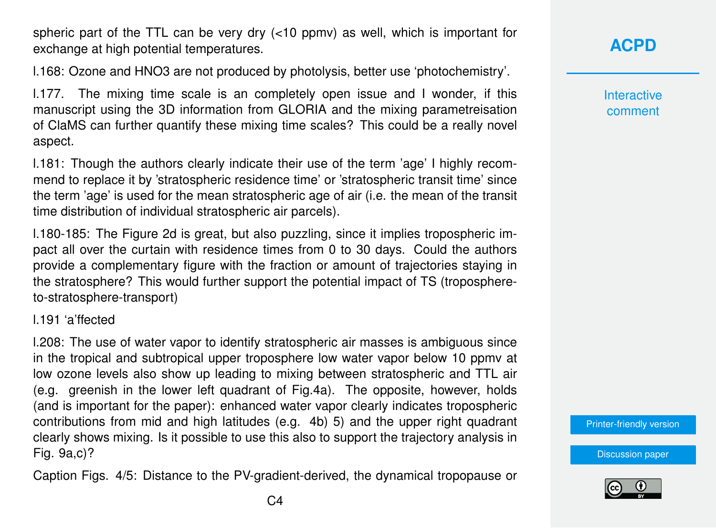spheric part of the TTL can be very dry (<10 ppmv) as well, which is important for exchange at high potential temperatures.

l.168: Ozone and HNO3 are not produced by photolysis, better use 'photochemistry'.

l.177. The mixing time scale is an completely open issue and I wonder, if this manuscript using the 3D information from GLORIA and the mixing parametreisation of ClaMS can further quantify these mixing time scales? This could be a really novel aspect.

l.181: Though the authors clearly indicate their use of the term 'age' I highly recommend to replace it by 'stratospheric residence time' or 'stratospheric transit time' since the term 'age' is used for the mean stratospheric age of air (i.e. the mean of the transit time distribution of individual stratospheric air parcels).

l.180-185: The Figure 2d is great, but also puzzling, since it implies tropospheric impact all over the curtain with residence times from 0 to 30 days. Could the authors provide a complementary figure with the fraction or amount of trajectories staying in the stratosphere? This would further support the potential impact of TS (troposphereto-stratosphere-transport)

l.191 'a'ffected

l.208: The use of water vapor to identify stratospheric air masses is ambiguous since in the tropical and subtropical upper troposphere low water vapor below 10 ppmv at low ozone levels also show up leading to mixing between stratospheric and TTL air (e.g. greenish in the lower left quadrant of Fig.4a). The opposite, however, holds (and is important for the paper): enhanced water vapor clearly indicates tropospheric contributions from mid and high latitudes (e.g. 4b) 5) and the upper right quadrant clearly shows mixing. Is it possible to use this also to support the trajectory analysis in Fig. 9a,c)?

Caption Figs. 4/5: Distance to the PV-gradient-derived, the dynamical tropopause or

**[ACPD](https://acp.copernicus.org/preprints/)**

**Interactive** comment

[Printer-friendly version](https://acp.copernicus.org/preprints/acp-2020-1053/acp-2020-1053-RC1-print.pdf)

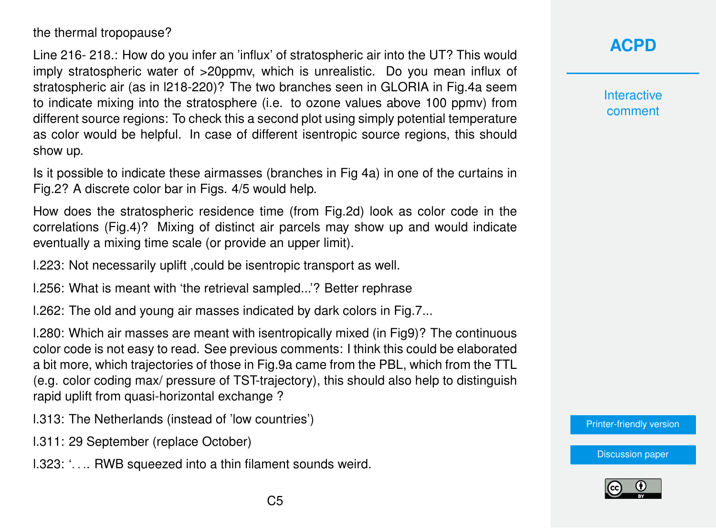the thermal tropopause?

Line 216- 218.: How do you infer an 'influx' of stratospheric air into the UT? This would imply stratospheric water of >20ppmv, which is unrealistic. Do you mean influx of stratospheric air (as in l218-220)? The two branches seen in GLORIA in Fig.4a seem to indicate mixing into the stratosphere (i.e. to ozone values above 100 ppmv) from different source regions: To check this a second plot using simply potential temperature as color would be helpful. In case of different isentropic source regions, this should show up.

Is it possible to indicate these airmasses (branches in Fig 4a) in one of the curtains in Fig.2? A discrete color bar in Figs. 4/5 would help.

How does the stratospheric residence time (from Fig.2d) look as color code in the correlations (Fig.4)? Mixing of distinct air parcels may show up and would indicate eventually a mixing time scale (or provide an upper limit).

l.223: Not necessarily uplift ,could be isentropic transport as well.

l.256: What is meant with 'the retrieval sampled...'? Better rephrase

l.262: The old and young air masses indicated by dark colors in Fig.7...

l.280: Which air masses are meant with isentropically mixed (in Fig9)? The continuous color code is not easy to read. See previous comments: I think this could be elaborated a bit more, which trajectories of those in Fig.9a came from the PBL, which from the TTL (e.g. color coding max/ pressure of TST-trajectory), this should also help to distinguish rapid uplift from quasi-horizontal exchange ?

l.313: The Netherlands (instead of 'low countries')

l.311: 29 September (replace October)

l.323: '. . .. RWB squeezed into a thin filament sounds weird.

**[ACPD](https://acp.copernicus.org/preprints/)**

**Interactive** comment

[Printer-friendly version](https://acp.copernicus.org/preprints/acp-2020-1053/acp-2020-1053-RC1-print.pdf)